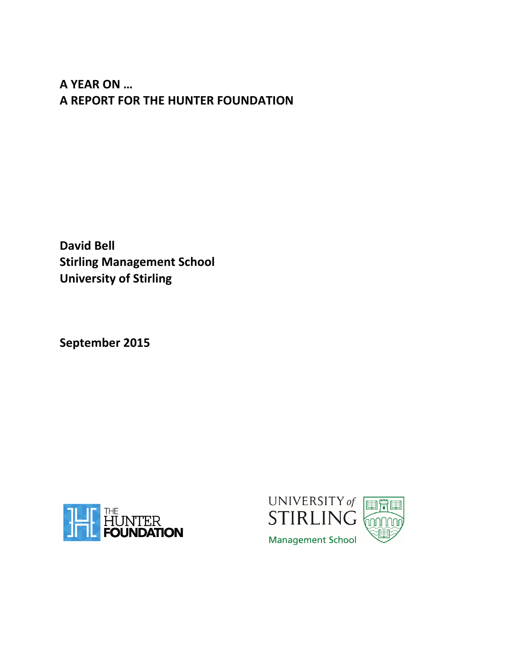# **A YEAR ON … A REPORT FOR THE HUNTER FOUNDATION**

**David Bell Stirling Management School University of Stirling**

**September 2015**



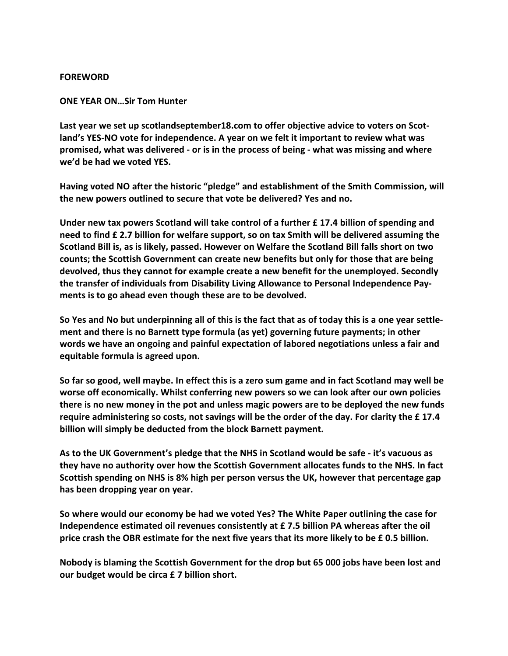# **FOREWORD**

**ONE YEAR ON…Sir Tom Hunter**

**Last year we set up scotlandseptember18.com to offer objective advice to voters on Scotland's YES-NO vote for independence. A year on we felt it important to review what was promised, what was delivered - or is in the process of being - what was missing and where we'd be had we voted YES.**

**Having voted NO after the historic "pledge" and establishment of the Smith Commission, will the new powers outlined to secure that vote be delivered? Yes and no.**

**Under new tax powers Scotland will take control of a further £ 17.4 billion of spending and need to find £ 2.7 billion for welfare support, so on tax Smith will be delivered assuming the Scotland Bill is, as is likely, passed. However on Welfare the Scotland Bill falls short on two counts; the Scottish Government can create new benefits but only for those that are being devolved, thus they cannot for example create a new benefit for the unemployed. Secondly the transfer of individuals from Disability Living Allowance to Personal Independence Payments is to go ahead even though these are to be devolved.**

So Yes and No but underpinning all of this is the fact that as of today this is a one year settle**ment and there is no Barnett type formula (as yet) governing future payments; in other words we have an ongoing and painful expectation of labored negotiations unless a fair and equitable formula is agreed upon.**

So far so good, well maybe. In effect this is a zero sum game and in fact Scotland may well be **worse off economically. Whilst conferring new powers so we can look after our own policies there is no new money in the pot and unless magic powers are to be deployed the new funds require administering so costs, not savings will be the order of the day. For clarity the £ 17.4 billion will simply be deducted from the block Barnett payment.**

**As to the UK Government's pledge that the NHS in Scotland would be safe - it's vacuous as they have no authority over how the Scottish Government allocates funds to the NHS. In fact Scottish spending on NHS is 8% high per person versus the UK, however that percentage gap has been dropping year on year.**

**So where would our economy be had we voted Yes? The White Paper outlining the case for Independence estimated oil revenues consistently at £ 7.5 billion PA whereas after the oil** price crash the OBR estimate for the next five years that its more likely to be £0.5 billion.

**Nobody is blaming the Scottish Government for the drop but 65 000 jobs have been lost and our budget would be circa £ 7 billion short.**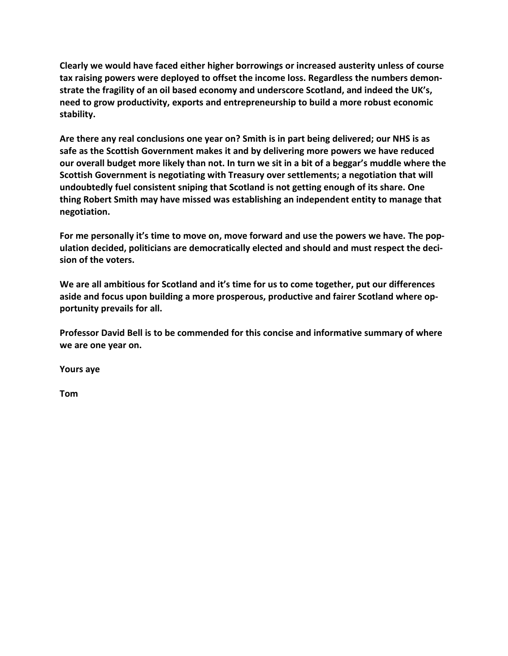**Clearly we would have faced either higher borrowings or increased austerity unless of course tax raising powers were deployed to offset the income loss. Regardless the numbers demonstrate the fragility of an oil based economy and underscore Scotland, and indeed the UK's, need to grow productivity, exports and entrepreneurship to build a more robust economic stability.**

**Are there any real conclusions one year on? Smith is in part being delivered; our NHS is as safe as the Scottish Government makes it and by delivering more powers we have reduced** our overall budget more likely than not. In turn we sit in a bit of a beggar's muddle where the **Scottish Government is negotiating with Treasury over settlements; a negotiation that will undoubtedly fuel consistent sniping that Scotland is not getting enough of its share. One thing Robert Smith may have missed was establishing an independent entity to manage that negotiation.**

**For me personally it's time to move on, move forward and use the powers we have. The population decided, politicians are democratically elected and should and must respect the decision of the voters.** 

**We are all ambitious for Scotland and it's time for us to come together, put our differences aside and focus upon building a more prosperous, productive and fairer Scotland where opportunity prevails for all.**

**Professor David Bell is to be commended for this concise and informative summary of where we are one year on.**

**Yours aye**

**Tom**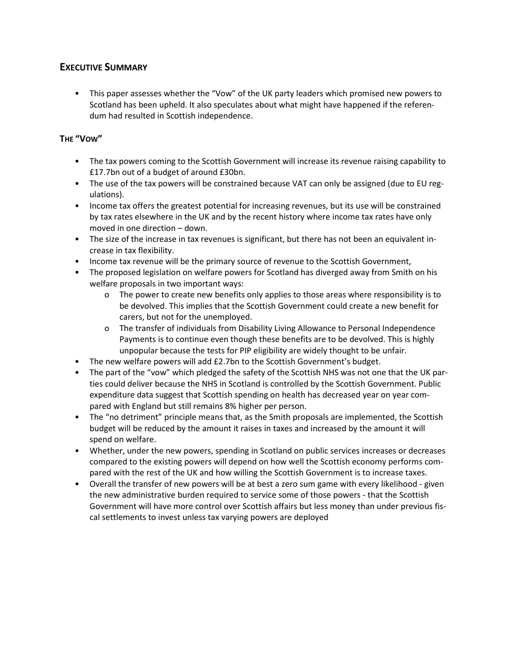# **EXECUTIVE SUMMARY**

• This paper assesses whether the "Vow" of the UK party leaders which promised new powers to Scotland has been upheld. It also speculates about what might have happened if the referendum had resulted in Scottish independence.

# **THE "VOW"**

- The tax powers coming to the Scottish Government will increase its revenue raising capability to £17.7bn out of a budget of around £30bn.
- The use of the tax powers will be constrained because VAT can only be assigned (due to EU regulations).
- Income tax offers the greatest potential for increasing revenues, but its use will be constrained by tax rates elsewhere in the UK and by the recent history where income tax rates have only moved in one direction – down.
- The size of the increase in tax revenues is significant, but there has not been an equivalent increase in tax flexibility.
- Income tax revenue will be the primary source of revenue to the Scottish Government,
- The proposed legislation on welfare powers for Scotland has diverged away from Smith on his welfare proposals in two important ways:
	- o The power to create new benefits only applies to those areas where responsibility is to be devolved. This implies that the Scottish Government could create a new benefit for carers, but not for the unemployed.
	- o The transfer of individuals from Disability Living Allowance to Personal Independence Payments is to continue even though these benefits are to be devolved. This is highly unpopular because the tests for PIP eligibility are widely thought to be unfair.
- The new welfare powers will add £2.7bn to the Scottish Government's budget.
- The part of the "vow" which pledged the safety of the Scottish NHS was not one that the UK parties could deliver because the NHS in Scotland is controlled by the Scottish Government. Public expenditure data suggest that Scottish spending on health has decreased year on year compared with England but still remains 8% higher per person.
- The "no detriment" principle means that, as the Smith proposals are implemented, the Scottish budget will be reduced by the amount it raises in taxes and increased by the amount it will spend on welfare.
- Whether, under the new powers, spending in Scotland on public services increases or decreases compared to the existing powers will depend on how well the Scottish economy performs compared with the rest of the UK and how willing the Scottish Government is to increase taxes.
- Overall the transfer of new powers will be at best a zero sum game with every likelihood given the new administrative burden required to service some of those powers - that the Scottish Government will have more control over Scottish affairs but less money than under previous fiscal settlements to invest unless tax varying powers are deployed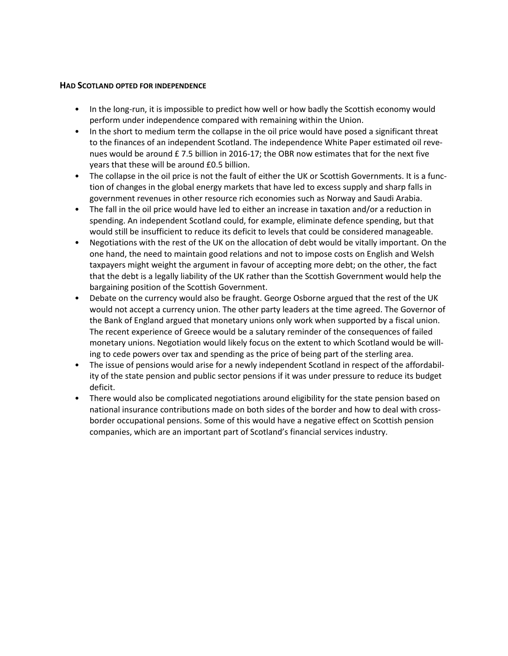#### **HAD SCOTLAND OPTED FOR INDEPENDENCE**

- In the long-run, it is impossible to predict how well or how badly the Scottish economy would perform under independence compared with remaining within the Union.
- In the short to medium term the collapse in the oil price would have posed a significant threat to the finances of an independent Scotland. The independence White Paper estimated oil revenues would be around £ 7.5 billion in 2016-17; the OBR now estimates that for the next five years that these will be around £0.5 billion.
- The collapse in the oil price is not the fault of either the UK or Scottish Governments. It is a function of changes in the global energy markets that have led to excess supply and sharp falls in government revenues in other resource rich economies such as Norway and Saudi Arabia.
- The fall in the oil price would have led to either an increase in taxation and/or a reduction in spending. An independent Scotland could, for example, eliminate defence spending, but that would still be insufficient to reduce its deficit to levels that could be considered manageable.
- Negotiations with the rest of the UK on the allocation of debt would be vitally important. On the one hand, the need to maintain good relations and not to impose costs on English and Welsh taxpayers might weight the argument in favour of accepting more debt; on the other, the fact that the debt is a legally liability of the UK rather than the Scottish Government would help the bargaining position of the Scottish Government.
- Debate on the currency would also be fraught. George Osborne argued that the rest of the UK would not accept a currency union. The other party leaders at the time agreed. The Governor of the Bank of England argued that monetary unions only work when supported by a fiscal union. The recent experience of Greece would be a salutary reminder of the consequences of failed monetary unions. Negotiation would likely focus on the extent to which Scotland would be willing to cede powers over tax and spending as the price of being part of the sterling area.
- The issue of pensions would arise for a newly independent Scotland in respect of the affordability of the state pension and public sector pensions if it was under pressure to reduce its budget deficit.
- There would also be complicated negotiations around eligibility for the state pension based on national insurance contributions made on both sides of the border and how to deal with crossborder occupational pensions. Some of this would have a negative effect on Scottish pension companies, which are an important part of Scotland's financial services industry.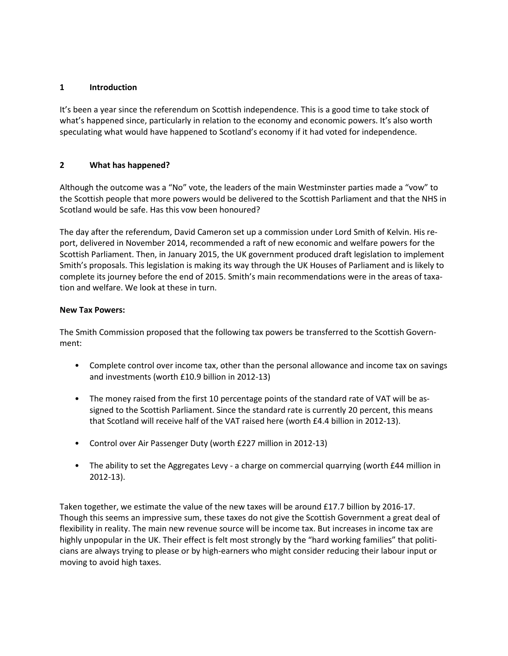# **1 Introduction**

It's been a year since the referendum on Scottish independence. This is a good time to take stock of what's happened since, particularly in relation to the economy and economic powers. It's also worth speculating what would have happened to Scotland's economy if it had voted for independence.

# **2 What has happened?**

Although the outcome was a "No" vote, the leaders of the main Westminster parties made a "vow" to the Scottish people that more powers would be delivered to the Scottish Parliament and that the NHS in Scotland would be safe. Has this vow been honoured?

The day after the referendum, David Cameron set up a commission under Lord Smith of Kelvin. His report, delivered in November 2014, recommended a raft of new economic and welfare powers for the Scottish Parliament. Then, in January 2015, the UK government produced draft legislation to implement Smith's proposals. This legislation is making its way through the UK Houses of Parliament and is likely to complete its journey before the end of 2015. Smith's main recommendations were in the areas of taxation and welfare. We look at these in turn.

# **New Tax Powers:**

The Smith Commission proposed that the following tax powers be transferred to the Scottish Government:

- Complete control over income tax, other than the personal allowance and income tax on savings and investments (worth £10.9 billion in 2012-13)
- The money raised from the first 10 percentage points of the standard rate of VAT will be assigned to the Scottish Parliament. Since the standard rate is currently 20 percent, this means that Scotland will receive half of the VAT raised here (worth £4.4 billion in 2012-13).
- Control over Air Passenger Duty (worth £227 million in 2012-13)
- The ability to set the Aggregates Levy a charge on commercial quarrying (worth £44 million in 2012-13).

Taken together, we estimate the value of the new taxes will be around £17.7 billion by 2016-17. Though this seems an impressive sum, these taxes do not give the Scottish Government a great deal of flexibility in reality. The main new revenue source will be income tax. But increases in income tax are highly unpopular in the UK. Their effect is felt most strongly by the "hard working families" that politicians are always trying to please or by high-earners who might consider reducing their labour input or moving to avoid high taxes.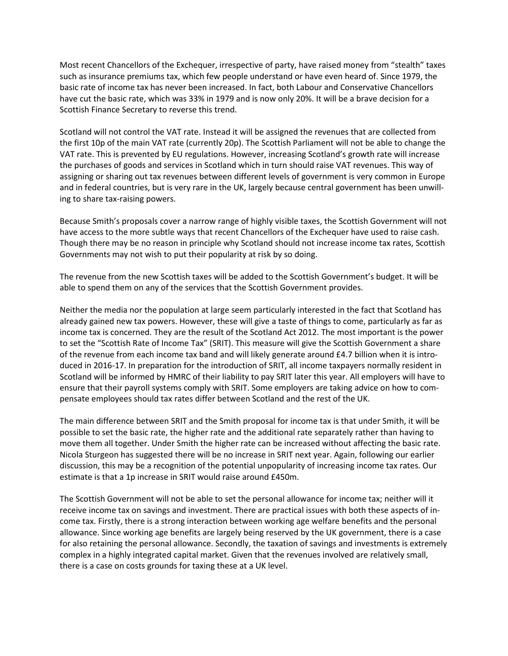Most recent Chancellors of the Exchequer, irrespective of party, have raised money from "stealth" taxes such as insurance premiums tax, which few people understand or have even heard of. Since 1979, the basic rate of income tax has never been increased. In fact, both Labour and Conservative Chancellors have cut the basic rate, which was 33% in 1979 and is now only 20%. It will be a brave decision for a Scottish Finance Secretary to reverse this trend.

Scotland will not control the VAT rate. Instead it will be assigned the revenues that are collected from the first 10p of the main VAT rate (currently 20p). The Scottish Parliament will not be able to change the VAT rate. This is prevented by EU regulations. However, increasing Scotland's growth rate will increase the purchases of goods and services in Scotland which in turn should raise VAT revenues. This way of assigning or sharing out tax revenues between different levels of government is very common in Europe and in federal countries, but is very rare in the UK, largely because central government has been unwilling to share tax-raising powers.

Because Smith's proposals cover a narrow range of highly visible taxes, the Scottish Government will not have access to the more subtle ways that recent Chancellors of the Exchequer have used to raise cash. Though there may be no reason in principle why Scotland should not increase income tax rates, Scottish Governments may not wish to put their popularity at risk by so doing.

The revenue from the new Scottish taxes will be added to the Scottish Government's budget. It will be able to spend them on any of the services that the Scottish Government provides.

Neither the media nor the population at large seem particularly interested in the fact that Scotland has already gained new tax powers. However, these will give a taste of things to come, particularly as far as income tax is concerned. They are the result of the Scotland Act 2012. The most important is the power to set the "Scottish Rate of Income Tax" (SRIT). This measure will give the Scottish Government a share of the revenue from each income tax band and will likely generate around £4.7 billion when it is introduced in 2016-17. In preparation for the introduction of SRIT, all income taxpayers normally resident in Scotland will be informed by HMRC of their liability to pay SRIT later this year. All employers will have to ensure that their payroll systems comply with SRIT. Some employers are taking advice on how to compensate employees should tax rates differ between Scotland and the rest of the UK.

The main difference between SRIT and the Smith proposal for income tax is that under Smith, it will be possible to set the basic rate, the higher rate and the additional rate separately rather than having to move them all together. Under Smith the higher rate can be increased without affecting the basic rate. Nicola Sturgeon has suggested there will be no increase in SRIT next year. Again, following our earlier discussion, this may be a recognition of the potential unpopularity of increasing income tax rates. Our estimate is that a 1p increase in SRIT would raise around £450m.

The Scottish Government will not be able to set the personal allowance for income tax; neither will it receive income tax on savings and investment. There are practical issues with both these aspects of income tax. Firstly, there is a strong interaction between working age welfare benefits and the personal allowance. Since working age benefits are largely being reserved by the UK government, there is a case for also retaining the personal allowance. Secondly, the taxation of savings and investments is extremely complex in a highly integrated capital market. Given that the revenues involved are relatively small, there is a case on costs grounds for taxing these at a UK level.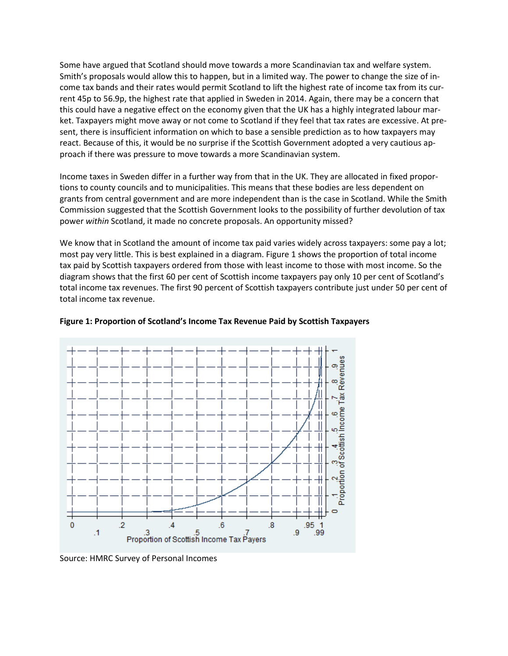Some have argued that Scotland should move towards a more Scandinavian tax and welfare system. Smith's proposals would allow this to happen, but in a limited way. The power to change the size of income tax bands and their rates would permit Scotland to lift the highest rate of income tax from its current 45p to 56.9p, the highest rate that applied in Sweden in 2014. Again, there may be a concern that this could have a negative effect on the economy given that the UK has a highly integrated labour market. Taxpayers might move away or not come to Scotland if they feel that tax rates are excessive. At present, there is insufficient information on which to base a sensible prediction as to how taxpayers may react. Because of this, it would be no surprise if the Scottish Government adopted a very cautious approach if there was pressure to move towards a more Scandinavian system.

Income taxes in Sweden differ in a further way from that in the UK. They are allocated in fixed proportions to county councils and to municipalities. This means that these bodies are less dependent on grants from central government and are more independent than is the case in Scotland. While the Smith Commission suggested that the Scottish Government looks to the possibility of further devolution of tax power *within* Scotland, it made no concrete proposals. An opportunity missed?

We know that in Scotland the amount of income tax paid varies widely across taxpayers: some pay a lot; most pay very little. This is best explained in a diagram. Figure 1 shows the proportion of total income tax paid by Scottish taxpayers ordered from those with least income to those with most income. So the diagram shows that the first 60 per cent of Scottish income taxpayers pay only 10 per cent of Scotland's total income tax revenues. The first 90 percent of Scottish taxpayers contribute just under 50 per cent of total income tax revenue.



# **Figure 1: Proportion of Scotland's Income Tax Revenue Paid by Scottish Taxpayers**

Source: HMRC Survey of Personal Incomes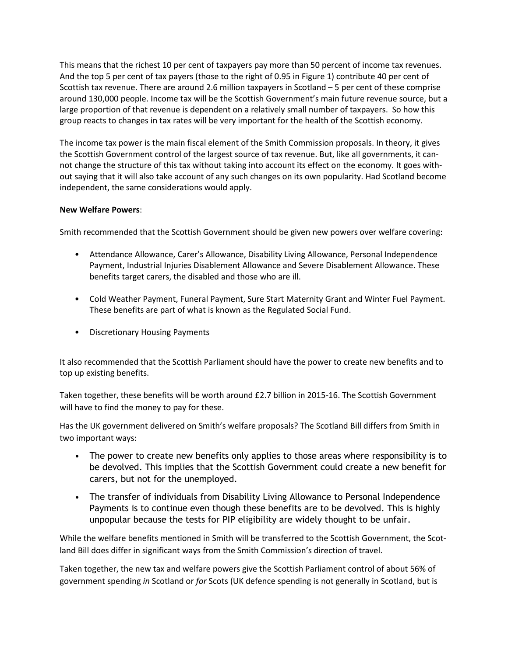This means that the richest 10 per cent of taxpayers pay more than 50 percent of income tax revenues. And the top 5 per cent of tax payers (those to the right of 0.95 in Figure 1) contribute 40 per cent of Scottish tax revenue. There are around 2.6 million taxpayers in Scotland – 5 per cent of these comprise around 130,000 people. Income tax will be the Scottish Government's main future revenue source, but a large proportion of that revenue is dependent on a relatively small number of taxpayers. So how this group reacts to changes in tax rates will be very important for the health of the Scottish economy.

The income tax power is the main fiscal element of the Smith Commission proposals. In theory, it gives the Scottish Government control of the largest source of tax revenue. But, like all governments, it cannot change the structure of this tax without taking into account its effect on the economy. It goes without saying that it will also take account of any such changes on its own popularity. Had Scotland become independent, the same considerations would apply.

# **New Welfare Powers**:

Smith recommended that the Scottish Government should be given new powers over welfare covering:

- Attendance Allowance, Carer's Allowance, Disability Living Allowance, Personal Independence Payment, Industrial Injuries Disablement Allowance and Severe Disablement Allowance. These benefits target carers, the disabled and those who are ill.
- Cold Weather Payment, Funeral Payment, Sure Start Maternity Grant and Winter Fuel Payment. These benefits are part of what is known as the Regulated Social Fund.
- Discretionary Housing Payments

It also recommended that the Scottish Parliament should have the power to create new benefits and to top up existing benefits.

Taken together, these benefits will be worth around £2.7 billion in 2015-16. The Scottish Government will have to find the money to pay for these.

Has the UK government delivered on Smith's welfare proposals? The Scotland Bill differs from Smith in two important ways:

- The power to create new benefits only applies to those areas where responsibility is to be devolved. This implies that the Scottish Government could create a new benefit for carers, but not for the unemployed.
- The transfer of individuals from Disability Living Allowance to Personal Independence Payments is to continue even though these benefits are to be devolved. This is highly unpopular because the tests for PIP eligibility are widely thought to be unfair.

While the welfare benefits mentioned in Smith will be transferred to the Scottish Government, the Scotland Bill does differ in significant ways from the Smith Commission's direction of travel.

Taken together, the new tax and welfare powers give the Scottish Parliament control of about 56% of government spending *in* Scotland or *for* Scots (UK defence spending is not generally in Scotland, but is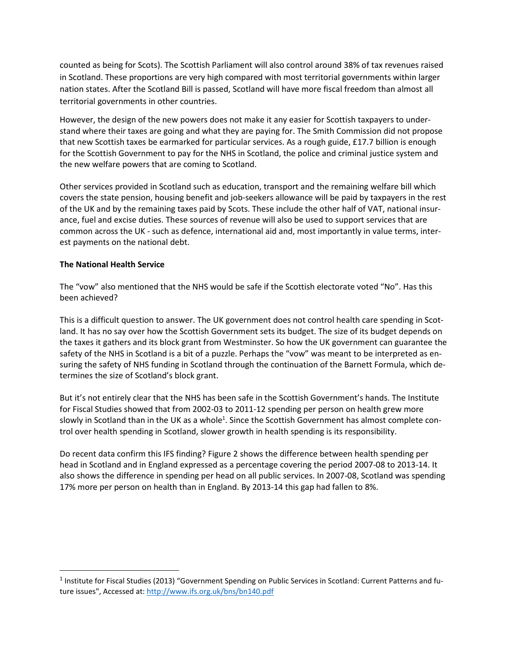counted as being for Scots). The Scottish Parliament will also control around 38% of tax revenues raised in Scotland. These proportions are very high compared with most territorial governments within larger nation states. After the Scotland Bill is passed, Scotland will have more fiscal freedom than almost all territorial governments in other countries.

However, the design of the new powers does not make it any easier for Scottish taxpayers to understand where their taxes are going and what they are paying for. The Smith Commission did not propose that new Scottish taxes be earmarked for particular services. As a rough guide, £17.7 billion is enough for the Scottish Government to pay for the NHS in Scotland, the police and criminal justice system and the new welfare powers that are coming to Scotland.

Other services provided in Scotland such as education, transport and the remaining welfare bill which covers the state pension, housing benefit and job-seekers allowance will be paid by taxpayers in the rest of the UK and by the remaining taxes paid by Scots. These include the other half of VAT, national insurance, fuel and excise duties. These sources of revenue will also be used to support services that are common across the UK - such as defence, international aid and, most importantly in value terms, interest payments on the national debt.

# **The National Health Service**

 $\overline{a}$ 

The "vow" also mentioned that the NHS would be safe if the Scottish electorate voted "No". Has this been achieved?

This is a difficult question to answer. The UK government does not control health care spending in Scotland. It has no say over how the Scottish Government sets its budget. The size of its budget depends on the taxes it gathers and its block grant from Westminster. So how the UK government can guarantee the safety of the NHS in Scotland is a bit of a puzzle. Perhaps the "vow" was meant to be interpreted as ensuring the safety of NHS funding in Scotland through the continuation of the Barnett Formula, which determines the size of Scotland's block grant.

But it's not entirely clear that the NHS has been safe in the Scottish Government's hands. The Institute for Fiscal Studies showed that from 2002-03 to 2011-12 spending per person on health grew more slowly in Scotland than in the UK as a whole<sup>1</sup>. Since the Scottish Government has almost complete control over health spending in Scotland, slower growth in health spending is its responsibility.

Do recent data confirm this IFS finding? Figure 2 shows the difference between health spending per head in Scotland and in England expressed as a percentage covering the period 2007-08 to 2013-14. It also shows the difference in spending per head on all public services. In 2007-08, Scotland was spending 17% more per person on health than in England. By 2013-14 this gap had fallen to 8%.

<sup>&</sup>lt;sup>1</sup> Institute for Fiscal Studies (2013) "Government Spending on Public Services in Scotland: Current Patterns and future issues", Accessed at: <http://www.ifs.org.uk/bns/bn140.pdf>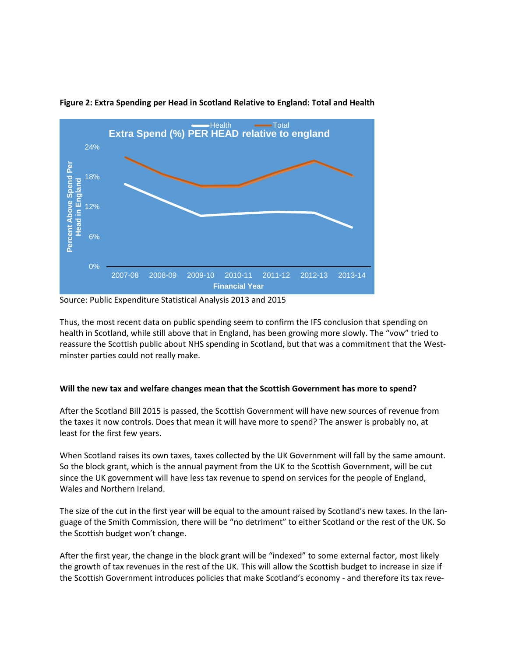

#### **Figure 2: Extra Spending per Head in Scotland Relative to England: Total and Health**

Source: Public Expenditure Statistical Analysis 2013 and 2015

Thus, the most recent data on public spending seem to confirm the IFS conclusion that spending on health in Scotland, while still above that in England, has been growing more slowly. The "vow" tried to reassure the Scottish public about NHS spending in Scotland, but that was a commitment that the Westminster parties could not really make.

# **Will the new tax and welfare changes mean that the Scottish Government has more to spend?**

After the Scotland Bill 2015 is passed, the Scottish Government will have new sources of revenue from the taxes it now controls. Does that mean it will have more to spend? The answer is probably no, at least for the first few years.

When Scotland raises its own taxes, taxes collected by the UK Government will fall by the same amount. So the block grant, which is the annual payment from the UK to the Scottish Government, will be cut since the UK government will have less tax revenue to spend on services for the people of England, Wales and Northern Ireland.

The size of the cut in the first year will be equal to the amount raised by Scotland's new taxes. In the language of the Smith Commission, there will be "no detriment" to either Scotland or the rest of the UK. So the Scottish budget won't change.

After the first year, the change in the block grant will be "indexed" to some external factor, most likely the growth of tax revenues in the rest of the UK. This will allow the Scottish budget to increase in size if the Scottish Government introduces policies that make Scotland's economy - and therefore its tax reve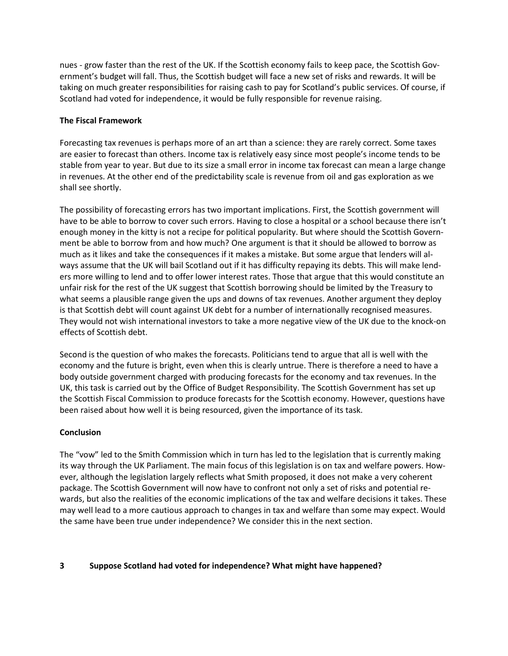nues - grow faster than the rest of the UK. If the Scottish economy fails to keep pace, the Scottish Government's budget will fall. Thus, the Scottish budget will face a new set of risks and rewards. It will be taking on much greater responsibilities for raising cash to pay for Scotland's public services. Of course, if Scotland had voted for independence, it would be fully responsible for revenue raising.

# **The Fiscal Framework**

Forecasting tax revenues is perhaps more of an art than a science: they are rarely correct. Some taxes are easier to forecast than others. Income tax is relatively easy since most people's income tends to be stable from year to year. But due to its size a small error in income tax forecast can mean a large change in revenues. At the other end of the predictability scale is revenue from oil and gas exploration as we shall see shortly.

The possibility of forecasting errors has two important implications. First, the Scottish government will have to be able to borrow to cover such errors. Having to close a hospital or a school because there isn't enough money in the kitty is not a recipe for political popularity. But where should the Scottish Government be able to borrow from and how much? One argument is that it should be allowed to borrow as much as it likes and take the consequences if it makes a mistake. But some argue that lenders will always assume that the UK will bail Scotland out if it has difficulty repaying its debts. This will make lenders more willing to lend and to offer lower interest rates. Those that argue that this would constitute an unfair risk for the rest of the UK suggest that Scottish borrowing should be limited by the Treasury to what seems a plausible range given the ups and downs of tax revenues. Another argument they deploy is that Scottish debt will count against UK debt for a number of internationally recognised measures. They would not wish international investors to take a more negative view of the UK due to the knock-on effects of Scottish debt.

Second is the question of who makes the forecasts. Politicians tend to argue that all is well with the economy and the future is bright, even when this is clearly untrue. There is therefore a need to have a body outside government charged with producing forecasts for the economy and tax revenues. In the UK, this task is carried out by the Office of Budget Responsibility. The Scottish Government has set up the Scottish Fiscal Commission to produce forecasts for the Scottish economy. However, questions have been raised about how well it is being resourced, given the importance of its task.

# **Conclusion**

The "vow" led to the Smith Commission which in turn has led to the legislation that is currently making its way through the UK Parliament. The main focus of this legislation is on tax and welfare powers. However, although the legislation largely reflects what Smith proposed, it does not make a very coherent package. The Scottish Government will now have to confront not only a set of risks and potential rewards, but also the realities of the economic implications of the tax and welfare decisions it takes. These may well lead to a more cautious approach to changes in tax and welfare than some may expect. Would the same have been true under independence? We consider this in the next section.

# **3 Suppose Scotland had voted for independence? What might have happened?**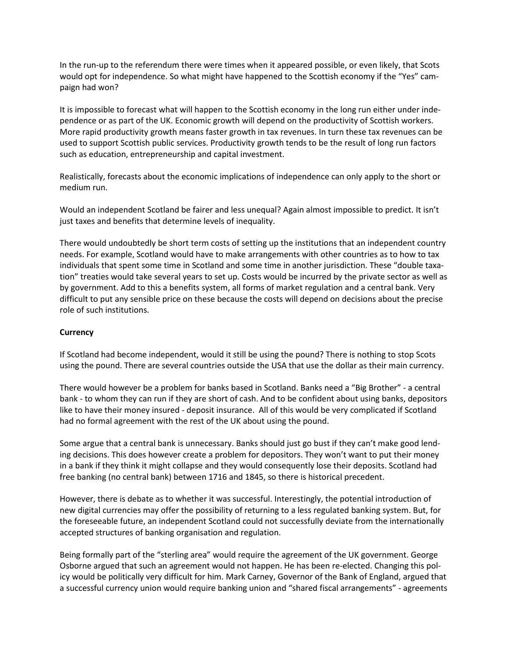In the run-up to the referendum there were times when it appeared possible, or even likely, that Scots would opt for independence. So what might have happened to the Scottish economy if the "Yes" campaign had won?

It is impossible to forecast what will happen to the Scottish economy in the long run either under independence or as part of the UK. Economic growth will depend on the productivity of Scottish workers. More rapid productivity growth means faster growth in tax revenues. In turn these tax revenues can be used to support Scottish public services. Productivity growth tends to be the result of long run factors such as education, entrepreneurship and capital investment.

Realistically, forecasts about the economic implications of independence can only apply to the short or medium run.

Would an independent Scotland be fairer and less unequal? Again almost impossible to predict. It isn't just taxes and benefits that determine levels of inequality.

There would undoubtedly be short term costs of setting up the institutions that an independent country needs. For example, Scotland would have to make arrangements with other countries as to how to tax individuals that spent some time in Scotland and some time in another jurisdiction. These "double taxation" treaties would take several years to set up. Costs would be incurred by the private sector as well as by government. Add to this a benefits system, all forms of market regulation and a central bank. Very difficult to put any sensible price on these because the costs will depend on decisions about the precise role of such institutions.

# **Currency**

If Scotland had become independent, would it still be using the pound? There is nothing to stop Scots using the pound. There are several countries outside the USA that use the dollar as their main currency.

There would however be a problem for banks based in Scotland. Banks need a "Big Brother" - a central bank - to whom they can run if they are short of cash. And to be confident about using banks, depositors like to have their money insured - deposit insurance. All of this would be very complicated if Scotland had no formal agreement with the rest of the UK about using the pound.

Some argue that a central bank is unnecessary. Banks should just go bust if they can't make good lending decisions. This does however create a problem for depositors. They won't want to put their money in a bank if they think it might collapse and they would consequently lose their deposits. Scotland had free banking (no central bank) between 1716 and 1845, so there is historical precedent.

However, there is debate as to whether it was successful. Interestingly, the potential introduction of new digital currencies may offer the possibility of returning to a less regulated banking system. But, for the foreseeable future, an independent Scotland could not successfully deviate from the internationally accepted structures of banking organisation and regulation.

Being formally part of the "sterling area" would require the agreement of the UK government. George Osborne argued that such an agreement would not happen. He has been re-elected. Changing this policy would be politically very difficult for him. Mark Carney, Governor of the Bank of England, argued that a successful currency union would require banking union and "shared fiscal arrangements" - agreements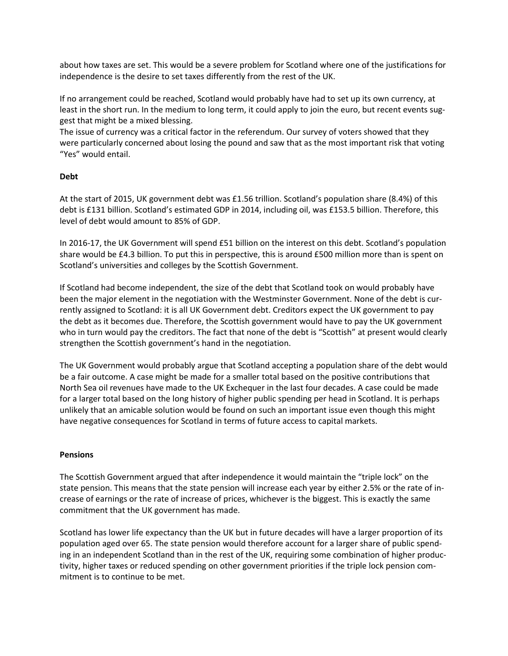about how taxes are set. This would be a severe problem for Scotland where one of the justifications for independence is the desire to set taxes differently from the rest of the UK.

If no arrangement could be reached, Scotland would probably have had to set up its own currency, at least in the short run. In the medium to long term, it could apply to join the euro, but recent events suggest that might be a mixed blessing.

The issue of currency was a critical factor in the referendum. Our survey of voters showed that they were particularly concerned about losing the pound and saw that as the most important risk that voting "Yes" would entail.

# **Debt**

At the start of 2015, UK government debt was £1.56 trillion. Scotland's population share (8.4%) of this debt is £131 billion. Scotland's estimated GDP in 2014, including oil, was £153.5 billion. Therefore, this level of debt would amount to 85% of GDP.

In 2016-17, the UK Government will spend £51 billion on the interest on this debt. Scotland's population share would be £4.3 billion. To put this in perspective, this is around £500 million more than is spent on Scotland's universities and colleges by the Scottish Government.

If Scotland had become independent, the size of the debt that Scotland took on would probably have been the major element in the negotiation with the Westminster Government. None of the debt is currently assigned to Scotland: it is all UK Government debt. Creditors expect the UK government to pay the debt as it becomes due. Therefore, the Scottish government would have to pay the UK government who in turn would pay the creditors. The fact that none of the debt is "Scottish" at present would clearly strengthen the Scottish government's hand in the negotiation.

The UK Government would probably argue that Scotland accepting a population share of the debt would be a fair outcome. A case might be made for a smaller total based on the positive contributions that North Sea oil revenues have made to the UK Exchequer in the last four decades. A case could be made for a larger total based on the long history of higher public spending per head in Scotland. It is perhaps unlikely that an amicable solution would be found on such an important issue even though this might have negative consequences for Scotland in terms of future access to capital markets.

# **Pensions**

The Scottish Government argued that after independence it would maintain the "triple lock" on the state pension. This means that the state pension will increase each year by either 2.5% or the rate of increase of earnings or the rate of increase of prices, whichever is the biggest. This is exactly the same commitment that the UK government has made.

Scotland has lower life expectancy than the UK but in future decades will have a larger proportion of its population aged over 65. The state pension would therefore account for a larger share of public spending in an independent Scotland than in the rest of the UK, requiring some combination of higher productivity, higher taxes or reduced spending on other government priorities if the triple lock pension commitment is to continue to be met.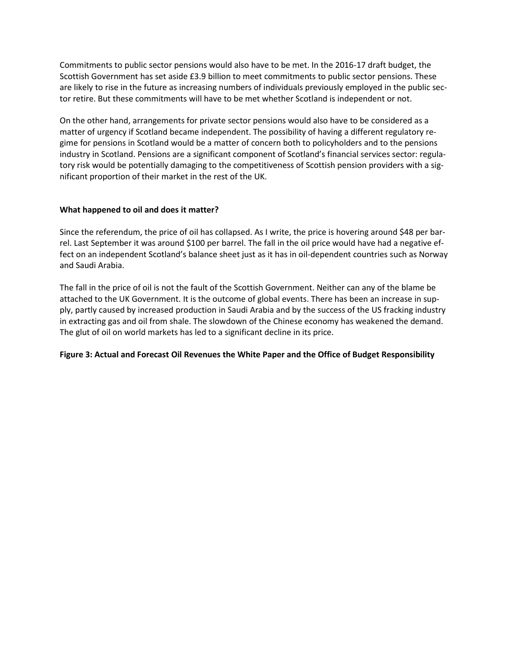Commitments to public sector pensions would also have to be met. In the 2016-17 draft budget, the Scottish Government has set aside £3.9 billion to meet commitments to public sector pensions. These are likely to rise in the future as increasing numbers of individuals previously employed in the public sector retire. But these commitments will have to be met whether Scotland is independent or not.

On the other hand, arrangements for private sector pensions would also have to be considered as a matter of urgency if Scotland became independent. The possibility of having a different regulatory regime for pensions in Scotland would be a matter of concern both to policyholders and to the pensions industry in Scotland. Pensions are a significant component of Scotland's financial services sector: regulatory risk would be potentially damaging to the competitiveness of Scottish pension providers with a significant proportion of their market in the rest of the UK.

# **What happened to oil and does it matter?**

Since the referendum, the price of oil has collapsed. As I write, the price is hovering around \$48 per barrel. Last September it was around \$100 per barrel. The fall in the oil price would have had a negative effect on an independent Scotland's balance sheet just as it has in oil-dependent countries such as Norway and Saudi Arabia.

The fall in the price of oil is not the fault of the Scottish Government. Neither can any of the blame be attached to the UK Government. It is the outcome of global events. There has been an increase in supply, partly caused by increased production in Saudi Arabia and by the success of the US fracking industry in extracting gas and oil from shale. The slowdown of the Chinese economy has weakened the demand. The glut of oil on world markets has led to a significant decline in its price.

# **Figure 3: Actual and Forecast Oil Revenues the White Paper and the Office of Budget Responsibility**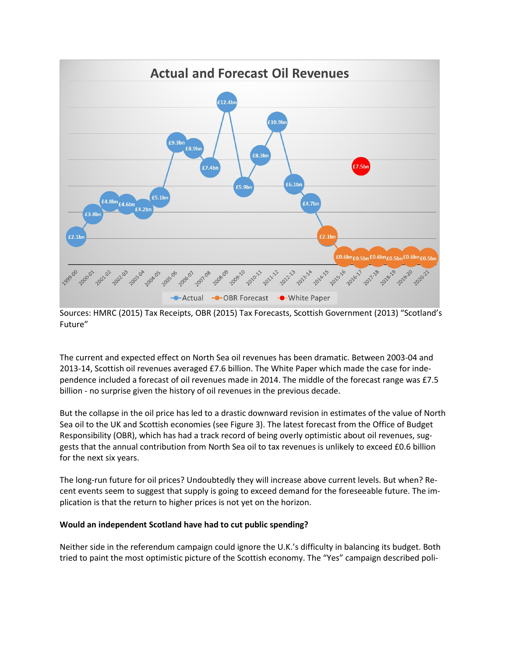

Sources: HMRC (2015) Tax Receipts, OBR (2015) Tax Forecasts, Scottish Government (2013) "Scotland's Future"

The current and expected effect on North Sea oil revenues has been dramatic. Between 2003-04 and 2013-14, Scottish oil revenues averaged £7.6 billion. The White Paper which made the case for independence included a forecast of oil revenues made in 2014. The middle of the forecast range was £7.5 billion - no surprise given the history of oil revenues in the previous decade.

But the collapse in the oil price has led to a drastic downward revision in estimates of the value of North Sea oil to the UK and Scottish economies (see Figure 3). The latest forecast from the Office of Budget Responsibility (OBR), which has had a track record of being overly optimistic about oil revenues, suggests that the annual contribution from North Sea oil to tax revenues is unlikely to exceed £0.6 billion for the next six years.

The long-run future for oil prices? Undoubtedly they will increase above current levels. But when? Recent events seem to suggest that supply is going to exceed demand for the foreseeable future. The implication is that the return to higher prices is not yet on the horizon.

# **Would an independent Scotland have had to cut public spending?**

Neither side in the referendum campaign could ignore the U.K.'s difficulty in balancing its budget. Both tried to paint the most optimistic picture of the Scottish economy. The "Yes" campaign described poli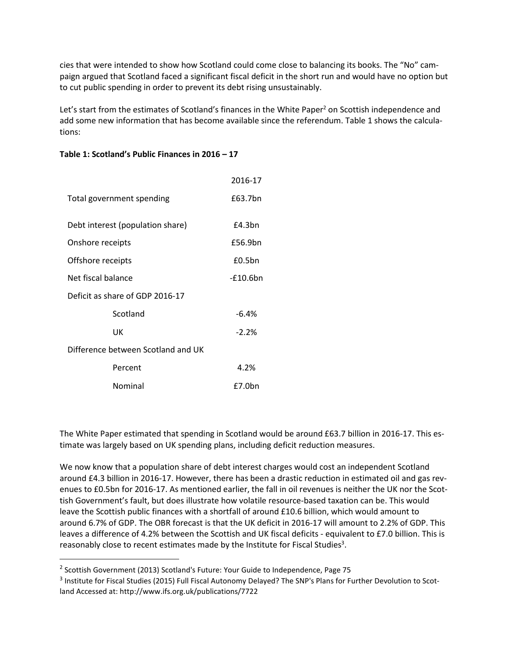cies that were intended to show how Scotland could come close to balancing its books. The "No" campaign argued that Scotland faced a significant fiscal deficit in the short run and would have no option but to cut public spending in order to prevent its debt rising unsustainably.

Let's start from the estimates of Scotland's finances in the White Paper<sup>2</sup> on Scottish independence and add some new information that has become available since the referendum. Table 1 shows the calculations:

|                                    | 2016-17     |
|------------------------------------|-------------|
| Total government spending          | £63.7bn     |
| Debt interest (population share)   | £4.3bn      |
| Onshore receipts                   | £56.9bn     |
| Offshore receipts                  | £0.5bn      |
| Net fiscal balance                 | $-£10.6$ bn |
| Deficit as share of GDP 2016-17    |             |
| Scotland                           | $-6.4%$     |
| UK                                 | $-2.2%$     |
| Difference between Scotland and UK |             |
| Percent                            | 4.2%        |
| Nominal                            | £7.0bn      |

# **Table 1: Scotland's Public Finances in 2016 – 17**

The White Paper estimated that spending in Scotland would be around £63.7 billion in 2016-17. This estimate was largely based on UK spending plans, including deficit reduction measures.

We now know that a population share of debt interest charges would cost an independent Scotland around £4.3 billion in 2016-17. However, there has been a drastic reduction in estimated oil and gas revenues to £0.5bn for 2016-17. As mentioned earlier, the fall in oil revenues is neither the UK nor the Scottish Government's fault, but does illustrate how volatile resource-based taxation can be. This would leave the Scottish public finances with a shortfall of around £10.6 billion, which would amount to around 6.7% of GDP. The OBR forecast is that the UK deficit in 2016-17 will amount to 2.2% of GDP. This leaves a difference of 4.2% between the Scottish and UK fiscal deficits - equivalent to £7.0 billion. This is reasonably close to recent estimates made by the Institute for Fiscal Studies<sup>3</sup>.

 $\overline{a}$ 

<sup>&</sup>lt;sup>2</sup> Scottish Government (2013) Scotland's Future: Your Guide to Independence, Page 75

<sup>&</sup>lt;sup>3</sup> Institute for Fiscal Studies (2015) Full Fiscal Autonomy Delayed? The SNP's Plans for Further Devolution to Scotland Accessed at: http://www.ifs.org.uk/publications/7722